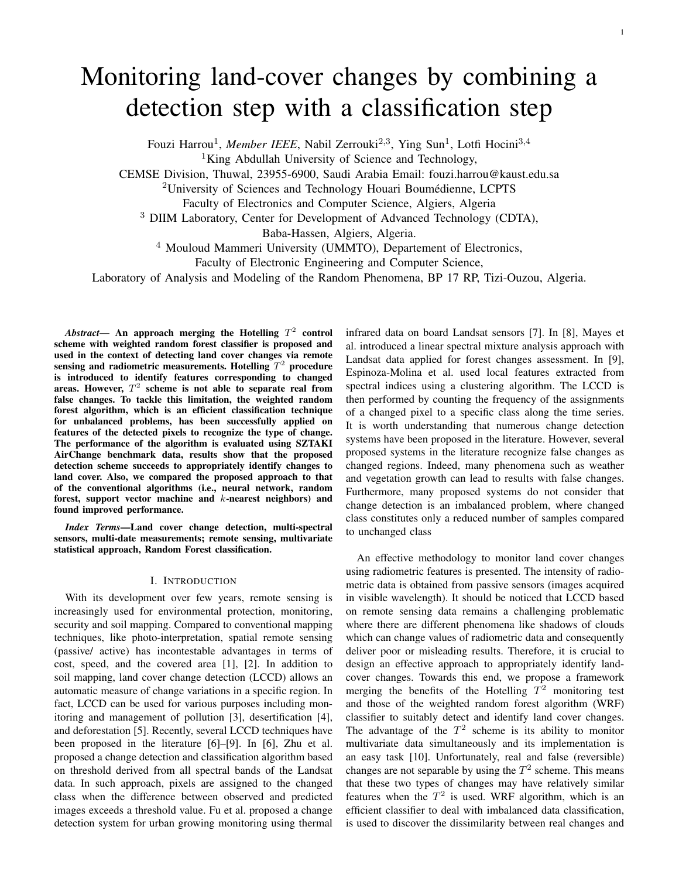# Monitoring land-cover changes by combining a detection step with a classification step

Fouzi Harrou<sup>1</sup>, Member IEEE, Nabil Zerrouki<sup>2,3</sup>, Ying Sun<sup>1</sup>, Lotfi Hocini<sup>3,4</sup>

<sup>1</sup>King Abdullah University of Science and Technology,

CEMSE Division, Thuwal, 23955-6900, Saudi Arabia Email: fouzi.harrou@kaust.edu.sa

<sup>2</sup>University of Sciences and Technology Houari Boumédienne, LCPTS

Faculty of Electronics and Computer Science, Algiers, Algeria

<sup>3</sup> DIIM Laboratory, Center for Development of Advanced Technology (CDTA),

Baba-Hassen, Algiers, Algeria.

<sup>4</sup> Mouloud Mammeri University (UMMTO), Departement of Electronics,

Faculty of Electronic Engineering and Computer Science,

Laboratory of Analysis and Modeling of the Random Phenomena, BP 17 RP, Tizi-Ouzou, Algeria.

 $\boldsymbol{A}$ *bstract*— An approach merging the Hotelling  $T^2$  control scheme with weighted random forest classifier is proposed and used in the context of detecting land cover changes via remote sensing and radiometric measurements. Hotelling  $T^2$  procedure is introduced to identify features corresponding to changed areas. However,  $T^2$  scheme is not able to separate real from false changes. To tackle this limitation, the weighted random forest algorithm, which is an efficient classification technique for unbalanced problems, has been successfully applied on features of the detected pixels to recognize the type of change. The performance of the algorithm is evaluated using SZTAKI AirChange benchmark data, results show that the proposed detection scheme succeeds to appropriately identify changes to land cover. Also, we compared the proposed approach to that of the conventional algorithms (i.e., neural network, random forest, support vector machine and k-nearest neighbors) and found improved performance.

*Index Terms*—Land cover change detection, multi-spectral sensors, multi-date measurements; remote sensing, multivariate statistical approach, Random Forest classification.

#### I. INTRODUCTION

With its development over few years, remote sensing is increasingly used for environmental protection, monitoring, security and soil mapping. Compared to conventional mapping techniques, like photo-interpretation, spatial remote sensing (passive/ active) has incontestable advantages in terms of cost, speed, and the covered area [1], [2]. In addition to soil mapping, land cover change detection (LCCD) allows an automatic measure of change variations in a specific region. In fact, LCCD can be used for various purposes including monitoring and management of pollution [3], desertification [4], and deforestation [5]. Recently, several LCCD techniques have been proposed in the literature [6]–[9]. In [6], Zhu et al. proposed a change detection and classification algorithm based on threshold derived from all spectral bands of the Landsat data. In such approach, pixels are assigned to the changed class when the difference between observed and predicted images exceeds a threshold value. Fu et al. proposed a change detection system for urban growing monitoring using thermal

infrared data on board Landsat sensors [7]. In [8], Mayes et al. introduced a linear spectral mixture analysis approach with Landsat data applied for forest changes assessment. In [9], Espinoza-Molina et al. used local features extracted from spectral indices using a clustering algorithm. The LCCD is then performed by counting the frequency of the assignments of a changed pixel to a specific class along the time series. It is worth understanding that numerous change detection systems have been proposed in the literature. However, several proposed systems in the literature recognize false changes as changed regions. Indeed, many phenomena such as weather and vegetation growth can lead to results with false changes. Furthermore, many proposed systems do not consider that change detection is an imbalanced problem, where changed class constitutes only a reduced number of samples compared to unchanged class

1

An effective methodology to monitor land cover changes using radiometric features is presented. The intensity of radiometric data is obtained from passive sensors (images acquired in visible wavelength). It should be noticed that LCCD based on remote sensing data remains a challenging problematic where there are different phenomena like shadows of clouds which can change values of radiometric data and consequently deliver poor or misleading results. Therefore, it is crucial to design an effective approach to appropriately identify landcover changes. Towards this end, we propose a framework merging the benefits of the Hotelling  $T^2$  monitoring test and those of the weighted random forest algorithm (WRF) classifier to suitably detect and identify land cover changes. The advantage of the  $T^2$  scheme is its ability to monitor multivariate data simultaneously and its implementation is an easy task [10]. Unfortunately, real and false (reversible) changes are not separable by using the  $T^2$  scheme. This means that these two types of changes may have relatively similar features when the  $T^2$  is used. WRF algorithm, which is an efficient classifier to deal with imbalanced data classification, is used to discover the dissimilarity between real changes and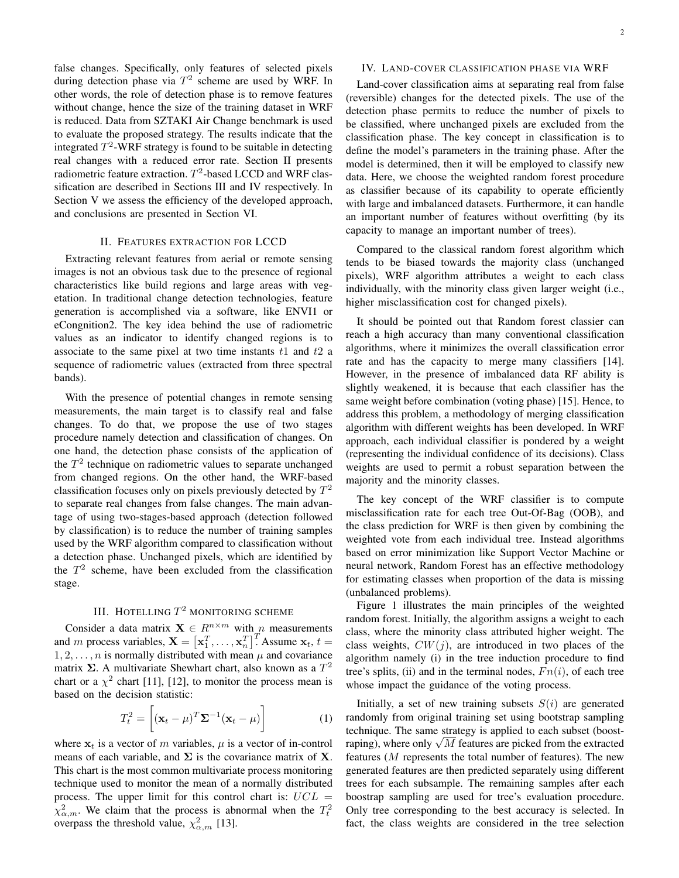false changes. Specifically, only features of selected pixels during detection phase via  $T^2$  scheme are used by WRF. In other words, the role of detection phase is to remove features without change, hence the size of the training dataset in WRF is reduced. Data from SZTAKI Air Change benchmark is used to evaluate the proposed strategy. The results indicate that the integrated  $T^2$ -WRF strategy is found to be suitable in detecting real changes with a reduced error rate. Section II presents radiometric feature extraction.  $T^2$ -based LCCD and WRF classification are described in Sections III and IV respectively. In Section V we assess the efficiency of the developed approach, and conclusions are presented in Section VI.

#### II. FEATURES EXTRACTION FOR LCCD

Extracting relevant features from aerial or remote sensing images is not an obvious task due to the presence of regional characteristics like build regions and large areas with vegetation. In traditional change detection technologies, feature generation is accomplished via a software, like ENVI1 or eCongnition2. The key idea behind the use of radiometric values as an indicator to identify changed regions is to associate to the same pixel at two time instants  $t_1$  and  $t_2$  a sequence of radiometric values (extracted from three spectral bands).

With the presence of potential changes in remote sensing measurements, the main target is to classify real and false changes. To do that, we propose the use of two stages procedure namely detection and classification of changes. On one hand, the detection phase consists of the application of the  $T<sup>2</sup>$  technique on radiometric values to separate unchanged from changed regions. On the other hand, the WRF-based classification focuses only on pixels previously detected by  $T^2$ to separate real changes from false changes. The main advantage of using two-stages-based approach (detection followed by classification) is to reduce the number of training samples used by the WRF algorithm compared to classification without a detection phase. Unchanged pixels, which are identified by the  $T<sup>2</sup>$  scheme, have been excluded from the classification stage.

## III. HOTELLING  $T^2$  monitoring scheme

Consider a data matrix  $\mathbf{X} \in R^{n \times m}$  with n measurements and m process variables,  $\mathbf{X} = [\mathbf{x}_1^T, \dots, \mathbf{x}_n^T]^T$ . Assume  $\mathbf{x}_t$ ,  $t =$  $1, 2, \ldots, n$  is normally distributed with mean  $\mu$  and covariance matrix  $\Sigma$ . A multivariate Shewhart chart, also known as a  $T^2$ chart or a  $\chi^2$  chart [11], [12], to monitor the process mean is based on the decision statistic:

$$
T_t^2 = \left[ (\mathbf{x}_t - \mu)^T \mathbf{\Sigma}^{-1} (\mathbf{x}_t - \mu) \right]
$$
 (1)

where  $x_t$  is a vector of m variables,  $\mu$  is a vector of in-control means of each variable, and  $\Sigma$  is the covariance matrix of **X**. This chart is the most common multivariate process monitoring technique used to monitor the mean of a normally distributed process. The upper limit for this control chart is:  $UCL =$  $\chi^2_{\alpha,m}$ . We claim that the process is abnormal when the  $T_t^2$ overpass the threshold value,  $\chi^2_{\alpha,m}$  [13].

### IV. LAND-COVER CLASSIFICATION PHASE VIA WRF

Land-cover classification aims at separating real from false (reversible) changes for the detected pixels. The use of the detection phase permits to reduce the number of pixels to be classified, where unchanged pixels are excluded from the classification phase. The key concept in classification is to define the model's parameters in the training phase. After the model is determined, then it will be employed to classify new data. Here, we choose the weighted random forest procedure as classifier because of its capability to operate efficiently with large and imbalanced datasets. Furthermore, it can handle an important number of features without overfitting (by its capacity to manage an important number of trees).

Compared to the classical random forest algorithm which tends to be biased towards the majority class (unchanged pixels), WRF algorithm attributes a weight to each class individually, with the minority class given larger weight (i.e., higher misclassification cost for changed pixels).

It should be pointed out that Random forest classier can reach a high accuracy than many conventional classification algorithms, where it minimizes the overall classification error rate and has the capacity to merge many classifiers [14]. However, in the presence of imbalanced data RF ability is slightly weakened, it is because that each classifier has the same weight before combination (voting phase) [15]. Hence, to address this problem, a methodology of merging classification algorithm with different weights has been developed. In WRF approach, each individual classifier is pondered by a weight (representing the individual confidence of its decisions). Class weights are used to permit a robust separation between the majority and the minority classes.

The key concept of the WRF classifier is to compute misclassification rate for each tree Out-Of-Bag (OOB), and the class prediction for WRF is then given by combining the weighted vote from each individual tree. Instead algorithms based on error minimization like Support Vector Machine or neural network, Random Forest has an effective methodology for estimating classes when proportion of the data is missing (unbalanced problems).

Figure 1 illustrates the main principles of the weighted random forest. Initially, the algorithm assigns a weight to each class, where the minority class attributed higher weight. The class weights,  $CW(j)$ , are introduced in two places of the algorithm namely (i) in the tree induction procedure to find tree's splits, (ii) and in the terminal nodes,  $Fn(i)$ , of each tree whose impact the guidance of the voting process.

Initially, a set of new training subsets  $S(i)$  are generated randomly from original training set using bootstrap sampling technique. The same strategy is applied to each subset (boostrechnique. The same strategy is applied to each subset (boost-<br>raping), where only  $\sqrt{M}$  features are picked from the extracted features  $(M$  represents the total number of features). The new generated features are then predicted separately using different trees for each subsample. The remaining samples after each boostrap sampling are used for tree's evaluation procedure. Only tree corresponding to the best accuracy is selected. In fact, the class weights are considered in the tree selection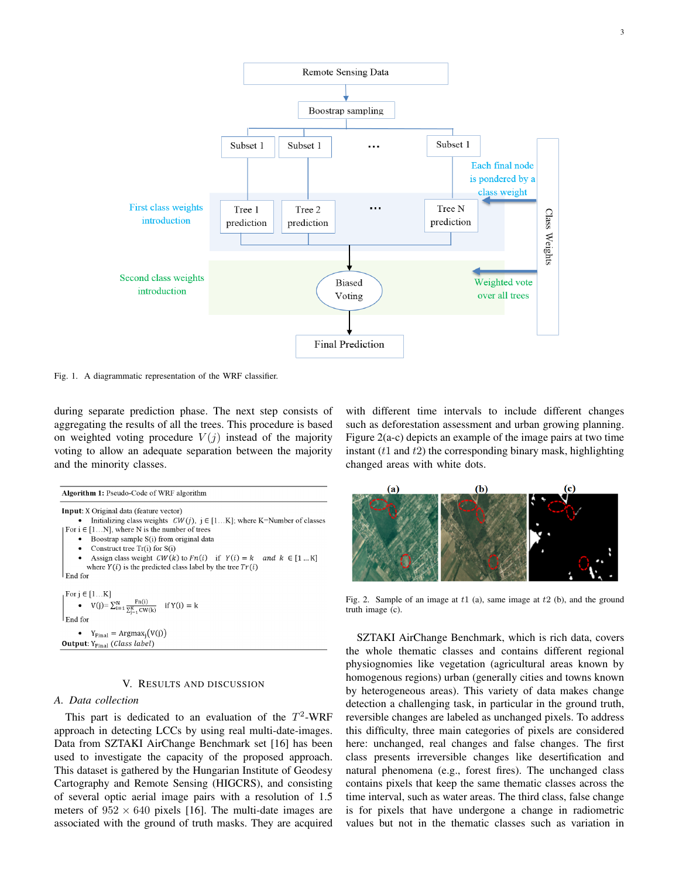

Fig. 1. A diagrammatic representation of the WRF classifier.

during separate prediction phase. The next step consists of aggregating the results of all the trees. This procedure is based on weighted voting procedure  $V(j)$  instead of the majority voting to allow an adequate separation between the majority and the minority classes.

| <b>Algorithm 1:</b> Pseudo-Code of WRF algorithm                                                                                                                                             |  |  |  |
|----------------------------------------------------------------------------------------------------------------------------------------------------------------------------------------------|--|--|--|
| <b>Input:</b> X Original data (feature vector)                                                                                                                                               |  |  |  |
| Initializing class weights $CW(j)$ , $j \in [1K]$ ; where K=Number of classes                                                                                                                |  |  |  |
| For $i \in [1N]$ , where N is the number of trees                                                                                                                                            |  |  |  |
| Boostrap sample S(i) from original data<br>٠                                                                                                                                                 |  |  |  |
| Construct tree $Tr(i)$ for $S(i)$<br>$\bullet$                                                                                                                                               |  |  |  |
| Assign class weight $CW(k)$ to $Fn(i)$ if $Y(i) = k$ and $k \in [1K]$<br>$\bullet$                                                                                                           |  |  |  |
| where $Y(i)$ is the predicted class label by the tree $Tr(i)$                                                                                                                                |  |  |  |
| End for                                                                                                                                                                                      |  |  |  |
|                                                                                                                                                                                              |  |  |  |
|                                                                                                                                                                                              |  |  |  |
| $\begin{array}{ l } \hbox{For $j\in[1K]$}\\ \bullet \hspace{0.5cm} V(j) {=}\sum_{i=1}^{N}\frac{\mathrm{Fn}(i)}{\sum_{j=1}^{K}\mathrm{CW}(k)} \hspace{0.5cm} \text{ if $Y(i)=k$} \end{array}$ |  |  |  |
| End for                                                                                                                                                                                      |  |  |  |
| • $Y_{Final} = \text{Argmax}_{i}(V(j))$                                                                                                                                                      |  |  |  |
| <b>Output:</b> $Y_{Final}$ (Class label)                                                                                                                                                     |  |  |  |

#### V. RESULTS AND DISCUSSION

#### *A. Data collection*

This part is dedicated to an evaluation of the  $T^2$ -WRF approach in detecting LCCs by using real multi-date-images. Data from SZTAKI AirChange Benchmark set [16] has been used to investigate the capacity of the proposed approach. This dataset is gathered by the Hungarian Institute of Geodesy Cartography and Remote Sensing (HIGCRS), and consisting of several optic aerial image pairs with a resolution of 1.5 meters of  $952 \times 640$  pixels [16]. The multi-date images are associated with the ground of truth masks. They are acquired with different time intervals to include different changes such as deforestation assessment and urban growing planning. Figure 2(a-c) depicts an example of the image pairs at two time instant  $(t1$  and  $t2$ ) the corresponding binary mask, highlighting changed areas with white dots.



Fig. 2. Sample of an image at  $t1$  (a), same image at  $t2$  (b), and the ground truth image (c).

SZTAKI AirChange Benchmark, which is rich data, covers the whole thematic classes and contains different regional physiognomies like vegetation (agricultural areas known by homogenous regions) urban (generally cities and towns known by heterogeneous areas). This variety of data makes change detection a challenging task, in particular in the ground truth, reversible changes are labeled as unchanged pixels. To address this difficulty, three main categories of pixels are considered here: unchanged, real changes and false changes. The first class presents irreversible changes like desertification and natural phenomena (e.g., forest fires). The unchanged class contains pixels that keep the same thematic classes across the time interval, such as water areas. The third class, false change is for pixels that have undergone a change in radiometric values but not in the thematic classes such as variation in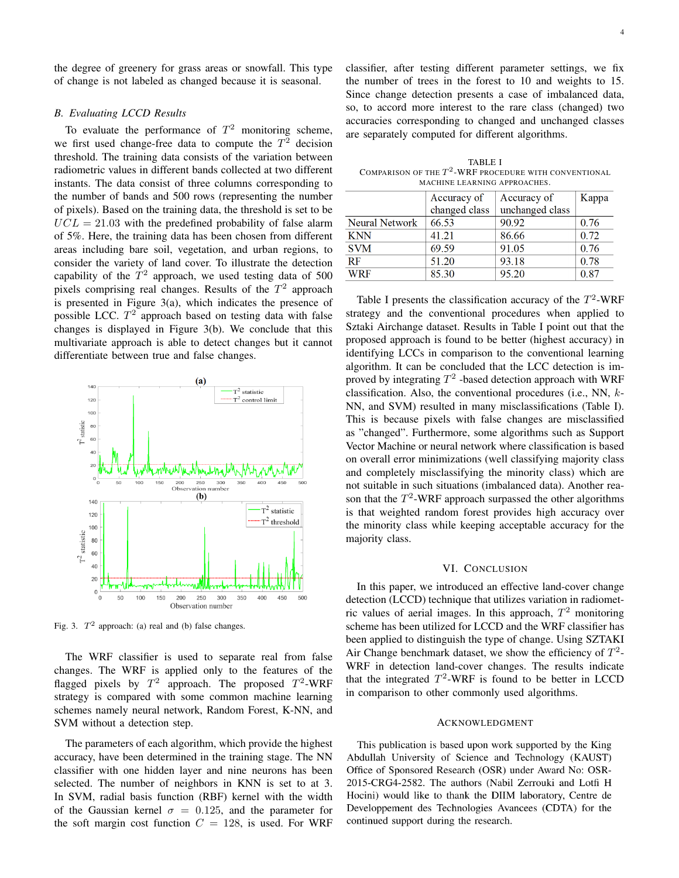the degree of greenery for grass areas or snowfall. This type of change is not labeled as changed because it is seasonal.

#### *B. Evaluating LCCD Results*

To evaluate the performance of  $T^2$  monitoring scheme, we first used change-free data to compute the  $T^2$  decision threshold. The training data consists of the variation between radiometric values in different bands collected at two different instants. The data consist of three columns corresponding to the number of bands and 500 rows (representing the number of pixels). Based on the training data, the threshold is set to be  $UCL = 21.03$  with the predefined probability of false alarm of 5%. Here, the training data has been chosen from different areas including bare soil, vegetation, and urban regions, to consider the variety of land cover. To illustrate the detection capability of the  $T^2$  approach, we used testing data of 500 pixels comprising real changes. Results of the  $T^2$  approach is presented in Figure 3(a), which indicates the presence of possible LCC.  $T^2$  approach based on testing data with false changes is displayed in Figure 3(b). We conclude that this multivariate approach is able to detect changes but it cannot differentiate between true and false changes.



Fig. 3.  $T^2$  approach: (a) real and (b) false changes.

The WRF classifier is used to separate real from false changes. The WRF is applied only to the features of the flagged pixels by  $T^2$  approach. The proposed  $T^2$ -WRF strategy is compared with some common machine learning schemes namely neural network, Random Forest, K-NN, and SVM without a detection step.

The parameters of each algorithm, which provide the highest accuracy, have been determined in the training stage. The NN classifier with one hidden layer and nine neurons has been selected. The number of neighbors in KNN is set to at 3. In SVM, radial basis function (RBF) kernel with the width of the Gaussian kernel  $\sigma = 0.125$ , and the parameter for the soft margin cost function  $C = 128$ , is used. For WRF classifier, after testing different parameter settings, we fix the number of trees in the forest to 10 and weights to 15. Since change detection presents a case of imbalanced data, so, to accord more interest to the rare class (changed) two accuracies corresponding to changed and unchanged classes are separately computed for different algorithms.

TABLE I COMPARISON OF THE  $T^2$ -WRF procedure with conventional MACHINE LEARNING APPROACHES.

|                | Accuracy of   | Accuracy of     | Kappa |
|----------------|---------------|-----------------|-------|
|                | changed class | unchanged class |       |
| Neural Network | 66.53         | 90.92           | 0.76  |
| <b>KNN</b>     | 41.21         | 86.66           | 0.72  |
| <b>SVM</b>     | 69.59         | 91.05           | 0.76  |
| RF             | 51.20         | 93.18           | 0.78  |
| <b>WRF</b>     | 85.30         | 95.20           | 0.87  |

Table I presents the classification accuracy of the  $T^2$ -WRF strategy and the conventional procedures when applied to Sztaki Airchange dataset. Results in Table I point out that the proposed approach is found to be better (highest accuracy) in identifying LCCs in comparison to the conventional learning algorithm. It can be concluded that the LCC detection is improved by integrating  $T^2$  -based detection approach with WRF classification. Also, the conventional procedures (i.e., NN, k-NN, and SVM) resulted in many misclassifications (Table I). This is because pixels with false changes are misclassified as "changed". Furthermore, some algorithms such as Support Vector Machine or neural network where classification is based on overall error minimizations (well classifying majority class and completely misclassifying the minority class) which are not suitable in such situations (imbalanced data). Another reason that the  $T^2$ -WRF approach surpassed the other algorithms is that weighted random forest provides high accuracy over the minority class while keeping acceptable accuracy for the majority class.

## VI. CONCLUSION

In this paper, we introduced an effective land-cover change detection (LCCD) technique that utilizes variation in radiometric values of aerial images. In this approach,  $T^2$  monitoring scheme has been utilized for LCCD and the WRF classifier has been applied to distinguish the type of change. Using SZTAKI Air Change benchmark dataset, we show the efficiency of  $T^2$ -WRF in detection land-cover changes. The results indicate that the integrated  $T^2$ -WRF is found to be better in LCCD in comparison to other commonly used algorithms.

#### ACKNOWLEDGMENT

This publication is based upon work supported by the King Abdullah University of Science and Technology (KAUST) Office of Sponsored Research (OSR) under Award No: OSR-2015-CRG4-2582. The authors (Nabil Zerrouki and Lotfi H Hocini) would like to thank the DIIM laboratory, Centre de Developpement des Technologies Avancees (CDTA) for the continued support during the research.